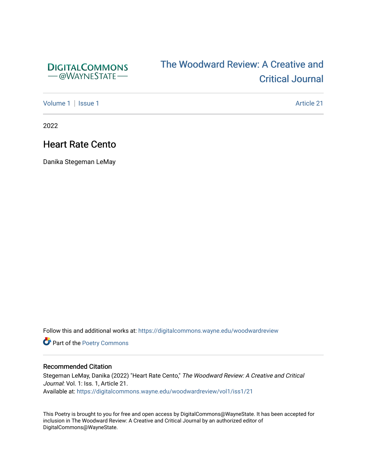

# [The Woodward Review: A Cr](https://digitalcommons.wayne.edu/woodwardreview)eative and [Critical Journal](https://digitalcommons.wayne.edu/woodwardreview)

[Volume 1](https://digitalcommons.wayne.edu/woodwardreview/vol1) | [Issue 1](https://digitalcommons.wayne.edu/woodwardreview/vol1/iss1) Article 21

2022

# Heart Rate Cento

Danika Stegeman LeMay

Follow this and additional works at: [https://digitalcommons.wayne.edu/woodwardreview](https://digitalcommons.wayne.edu/woodwardreview?utm_source=digitalcommons.wayne.edu%2Fwoodwardreview%2Fvol1%2Fiss1%2F21&utm_medium=PDF&utm_campaign=PDFCoverPages) 

**Part of the Poetry Commons** 

#### Recommended Citation

Stegeman LeMay, Danika (2022) "Heart Rate Cento," The Woodward Review: A Creative and Critical Journal: Vol. 1: Iss. 1, Article 21. Available at: [https://digitalcommons.wayne.edu/woodwardreview/vol1/iss1/21](https://digitalcommons.wayne.edu/woodwardreview/vol1/iss1/21?utm_source=digitalcommons.wayne.edu%2Fwoodwardreview%2Fvol1%2Fiss1%2F21&utm_medium=PDF&utm_campaign=PDFCoverPages)

This Poetry is brought to you for free and open access by DigitalCommons@WayneState. It has been accepted for inclusion in The Woodward Review: A Creative and Critical Journal by an authorized editor of DigitalCommons@WayneState.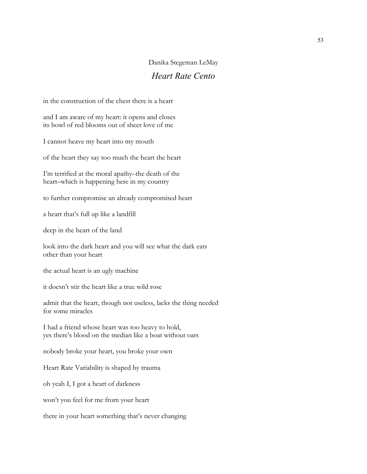### Danika Stegeman LeMay

## *Heart Rate Cento*

in the construction of the chest there is a heart

and I am aware of my heart: it opens and closes its bowl of red blooms out of sheer love of me

I cannot heave my heart into my mouth

of the heart they say too much the heart the heart

I'm terrified at the moral apathy–the death of the heart–which is happening here in my country

to further compromise an already compromised heart

a heart that's full up like a landfill

deep in the heart of the land

look into the dark heart and you will see what the dark eats other than your heart

the actual heart is an ugly machine

it doesn't stir the heart like a true wild rose

admit that the heart, though not useless, lacks the thing needed for some miracles

I had a friend whose heart was too heavy to hold, yes there's blood on the median like a boat without oars

nobody broke your heart, you broke your own

Heart Rate Variability is shaped by trauma

oh yeah I, I got a heart of darkness

won't you feel for me from your heart

there in your heart something that's never changing